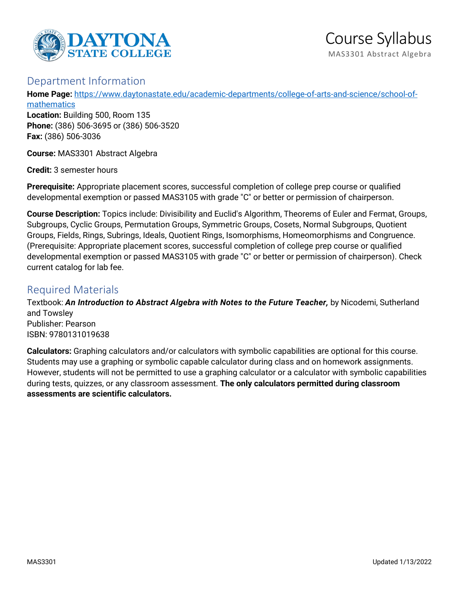

# Department Information

**Home Page:** [https://www.daytonastate.edu/academic-departments/college-of-arts-and-science/school-of](https://www.daytonastate.edu/academic-departments/college-of-arts-and-science/school-of-mathematics)[mathematics](https://www.daytonastate.edu/academic-departments/college-of-arts-and-science/school-of-mathematics)

**Location:** Building 500, Room 135 **Phone:** (386) 506-3695 or (386) 506-3520 **Fax:** (386) 506-3036

**Course:** MAS3301 Abstract Algebra

**Credit:** 3 semester hours

**Prerequisite:** Appropriate placement scores, successful completion of college prep course or qualified developmental exemption or passed MAS3105 with grade "C" or better or permission of chairperson.

**Course Description:** Topics include: Divisibility and Euclid's Algorithm, Theorems of Euler and Fermat, Groups, Subgroups, Cyclic Groups, Permutation Groups, Symmetric Groups, Cosets, Normal Subgroups, Quotient Groups, Fields, Rings, Subrings, Ideals, Quotient Rings, Isomorphisms, Homeomorphisms and Congruence. (Prerequisite: Appropriate placement scores, successful completion of college prep course or qualified developmental exemption or passed MAS3105 with grade "C" or better or permission of chairperson). Check current catalog for lab fee.

# Required Materials

Textbook: *An Introduction to Abstract Algebra with Notes to the Future Teacher,* by Nicodemi, Sutherland and Towsley Publisher: Pearson ISBN: 9780131019638

**Calculators:** Graphing calculators and/or calculators with symbolic capabilities are optional for this course. Students may use a graphing or symbolic capable calculator during class and on homework assignments. However, students will not be permitted to use a graphing calculator or a calculator with symbolic capabilities during tests, quizzes, or any classroom assessment. **The only calculators permitted during classroom assessments are scientific calculators.**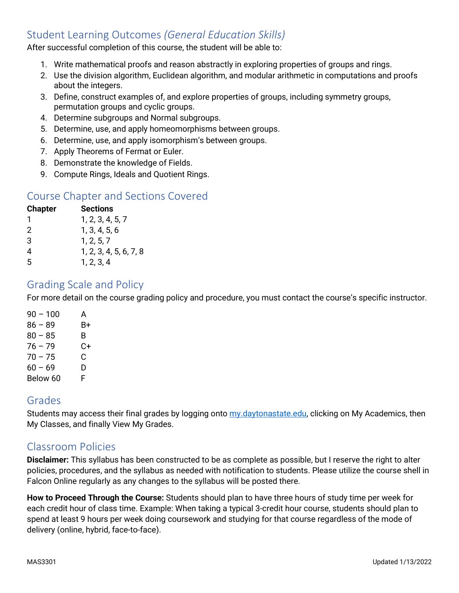# Student Learning Outcomes *(General Education Skills)*

After successful completion of this course, the student will be able to:

- 1. Write mathematical proofs and reason abstractly in exploring properties of groups and rings.
- 2. Use the division algorithm, Euclidean algorithm, and modular arithmetic in computations and proofs about the integers.
- 3. Define, construct examples of, and explore properties of groups, including symmetry groups, permutation groups and cyclic groups.
- 4. Determine subgroups and Normal subgroups.
- 5. Determine, use, and apply homeomorphisms between groups.
- 6. Determine, use, and apply isomorphism's between groups.
- 7. Apply Theorems of Fermat or Euler.
- 8. Demonstrate the knowledge of Fields.
- 9. Compute Rings, Ideals and Quotient Rings.

## Course Chapter and Sections Covered

| <b>Chapter</b> | Sections               |
|----------------|------------------------|
| 1              | 1, 2, 3, 4, 5, 7       |
| 2              | 1, 3, 4, 5, 6          |
| 3              | 1, 2, 5, 7             |
| 4              | 1, 2, 3, 4, 5, 6, 7, 8 |
| 5              | 1, 2, 3, 4             |

### Grading Scale and Policy

For more detail on the course grading policy and procedure, you must contact the course's specific instructor.

| $90 - 100$ | А  |
|------------|----|
| $86 - 89$  | В+ |
| $80 - 85$  | B  |
| $76 - 79$  | C+ |
| $70 - 75$  | C  |
| $60 - 69$  | D  |
| Below 60   | F  |

### Grades

Students may access their final grades by logging onto [my.daytonastate.edu,](https://my.daytonastate.edu/) clicking on My Academics, then My Classes, and finally View My Grades.

#### Classroom Policies

**Disclaimer:** This syllabus has been constructed to be as complete as possible, but I reserve the right to alter policies, procedures, and the syllabus as needed with notification to students. Please utilize the course shell in Falcon Online regularly as any changes to the syllabus will be posted there.

**How to Proceed Through the Course:** Students should plan to have three hours of study time per week for each credit hour of class time. Example: When taking a typical 3-credit hour course, students should plan to spend at least 9 hours per week doing coursework and studying for that course regardless of the mode of delivery (online, hybrid, face-to-face).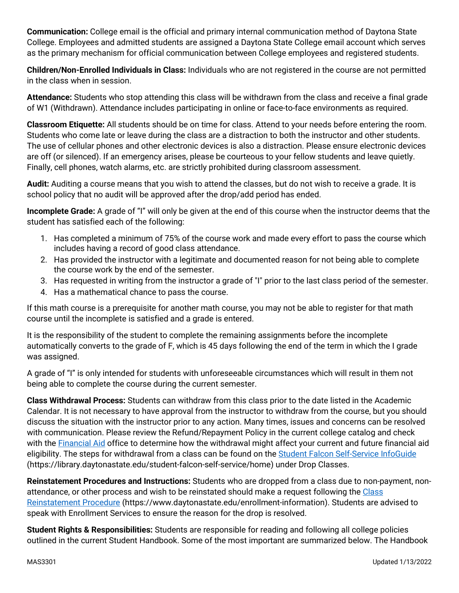**Communication:** College email is the official and primary internal communication method of Daytona State College. Employees and admitted students are assigned a Daytona State College email account which serves as the primary mechanism for official communication between College employees and registered students.

**Children/Non-Enrolled Individuals in Class:** Individuals who are not registered in the course are not permitted in the class when in session.

**Attendance:** Students who stop attending this class will be withdrawn from the class and receive a final grade of W1 (Withdrawn). Attendance includes participating in online or face-to-face environments as required.

**Classroom Etiquette:** All students should be on time for class. Attend to your needs before entering the room. Students who come late or leave during the class are a distraction to both the instructor and other students. The use of cellular phones and other electronic devices is also a distraction. Please ensure electronic devices are off (or silenced). If an emergency arises, please be courteous to your fellow students and leave quietly. Finally, cell phones, watch alarms, etc. are strictly prohibited during classroom assessment.

**Audit:** Auditing a course means that you wish to attend the classes, but do not wish to receive a grade. It is school policy that no audit will be approved after the drop/add period has ended.

**Incomplete Grade:** A grade of "I" will only be given at the end of this course when the instructor deems that the student has satisfied each of the following:

- 1. Has completed a minimum of 75% of the course work and made every effort to pass the course which includes having a record of good class attendance.
- 2. Has provided the instructor with a legitimate and documented reason for not being able to complete the course work by the end of the semester.
- 3. Has requested in writing from the instructor a grade of "I" prior to the last class period of the semester.
- 4. Has a mathematical chance to pass the course.

If this math course is a prerequisite for another math course, you may not be able to register for that math course until the incomplete is satisfied and a grade is entered.

It is the responsibility of the student to complete the remaining assignments before the incomplete automatically converts to the grade of F, which is 45 days following the end of the term in which the I grade was assigned.

A grade of "I" is only intended for students with unforeseeable circumstances which will result in them not being able to complete the course during the current semester.

**Class Withdrawal Process:** Students can withdraw from this class prior to the date listed in the Academic Calendar. It is not necessary to have approval from the instructor to withdraw from the course, but you should discuss the situation with the instructor prior to any action. Many times, issues and concerns can be resolved with communication. Please review the Refund/Repayment Policy in the current college catalog and check with the [Financial Aid](https://www.daytonastate.edu/financial-aid) office to determine how the withdrawal might affect your current and future financial aid eligibility. The steps for withdrawal from a class can be found on the [Student Falcon Self-Service InfoGuide](https://library.daytonastate.edu/student-falcon-self-service/home) (https://library.daytonastate.edu/student-falcon-self-service/home) under Drop Classes.

**Reinstatement Procedures and Instructions:** Students who are dropped from a class due to non-payment, nonattendance, or other process and wish to be reinstated should make a request following the [Class](https://www.daytonastate.edu/enrollment-information/index.html)  [Reinstatement Procedure](https://www.daytonastate.edu/enrollment-information/index.html) (https://www.daytonastate.edu/enrollment-information). Students are advised to speak with Enrollment Services to ensure the reason for the drop is resolved.

**Student Rights & Responsibilities:** Students are responsible for reading and following all college policies outlined in the current Student Handbook. Some of the most important are summarized below. The Handbook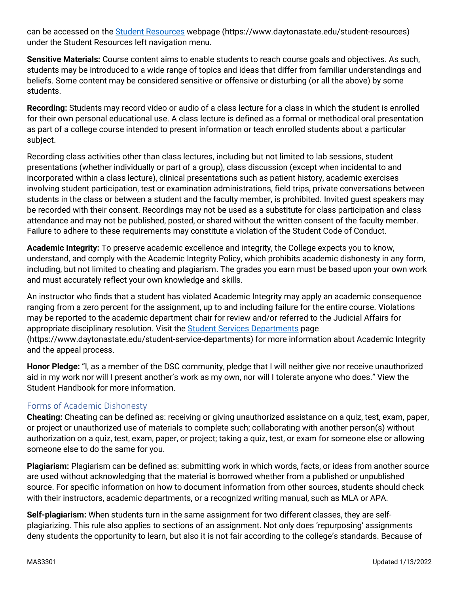can be accessed on the [Student Resources](https://www.daytonastate.edu/student-resources) webpage (https://www.daytonastate.edu/student-resources) under the Student Resources left navigation menu.

**Sensitive Materials:** Course content aims to enable students to reach course goals and objectives. As such, students may be introduced to a wide range of topics and ideas that differ from familiar understandings and beliefs. Some content may be considered sensitive or offensive or disturbing (or all the above) by some students.

**Recording:** Students may record video or audio of a class lecture for a class in which the student is enrolled for their own personal educational use. A class lecture is defined as a formal or methodical oral presentation as part of a college course intended to present information or teach enrolled students about a particular subject.

Recording class activities other than class lectures, including but not limited to lab sessions, student presentations (whether individually or part of a group), class discussion (except when incidental to and incorporated within a class lecture), clinical presentations such as patient history, academic exercises involving student participation, test or examination administrations, field trips, private conversations between students in the class or between a student and the faculty member, is prohibited. Invited guest speakers may be recorded with their consent. Recordings may not be used as a substitute for class participation and class attendance and may not be published, posted, or shared without the written consent of the faculty member. Failure to adhere to these requirements may constitute a violation of the Student Code of Conduct.

**Academic Integrity:** To preserve academic excellence and integrity, the College expects you to know, understand, and comply with the Academic Integrity Policy, which prohibits academic dishonesty in any form, including, but not limited to cheating and plagiarism. The grades you earn must be based upon your own work and must accurately reflect your own knowledge and skills.

An instructor who finds that a student has violated Academic Integrity may apply an academic consequence ranging from a zero percent for the assignment, up to and including failure for the entire course. Violations may be reported to the academic department chair for review and/or referred to the Judicial Affairs for appropriate disciplinary resolution. Visit the [Student Services Departments](https://www.daytonastate.edu/student-service-departments) page (https://www.daytonastate.edu/student-service-departments) for more information about Academic Integrity and the appeal process.

**Honor Pledge:** "I, as a member of the DSC community, pledge that I will neither give nor receive unauthorized aid in my work nor will I present another's work as my own, nor will I tolerate anyone who does." View the Student Handbook for more information.

#### Forms of Academic Dishonesty

**Cheating:** Cheating can be defined as: receiving or giving unauthorized assistance on a quiz, test, exam, paper, or project or unauthorized use of materials to complete such; collaborating with another person(s) without authorization on a quiz, test, exam, paper, or project; taking a quiz, test, or exam for someone else or allowing someone else to do the same for you.

**Plagiarism:** Plagiarism can be defined as: submitting work in which words, facts, or ideas from another source are used without acknowledging that the material is borrowed whether from a published or unpublished source. For specific information on how to document information from other sources, students should check with their instructors, academic departments, or a recognized writing manual, such as MLA or APA.

**Self-plagiarism:** When students turn in the same assignment for two different classes, they are selfplagiarizing. This rule also applies to sections of an assignment. Not only does 'repurposing' assignments deny students the opportunity to learn, but also it is not fair according to the college's standards. Because of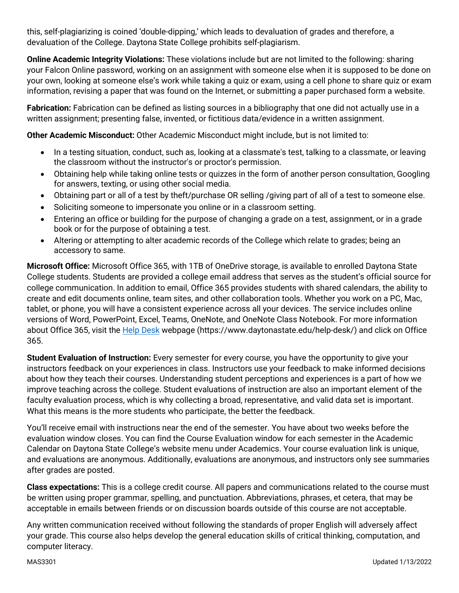this, self-plagiarizing is coined 'double-dipping,' which leads to devaluation of grades and therefore, a devaluation of the College. Daytona State College prohibits self-plagiarism.

**Online Academic Integrity Violations:** These violations include but are not limited to the following: sharing your Falcon Online password, working on an assignment with someone else when it is supposed to be done on your own, looking at someone else's work while taking a quiz or exam, using a cell phone to share quiz or exam information, revising a paper that was found on the Internet, or submitting a paper purchased form a website.

**Fabrication:** Fabrication can be defined as listing sources in a bibliography that one did not actually use in a written assignment; presenting false, invented, or fictitious data/evidence in a written assignment.

**Other Academic Misconduct:** Other Academic Misconduct might include, but is not limited to:

- In a testing situation, conduct, such as, looking at a classmate's test, talking to a classmate, or leaving the classroom without the instructor's or proctor's permission.
- Obtaining help while taking online tests or quizzes in the form of another person consultation, Googling for answers, texting, or using other social media.
- Obtaining part or all of a test by theft/purchase OR selling /giving part of all of a test to someone else.
- Soliciting someone to impersonate you online or in a classroom setting.
- Entering an office or building for the purpose of changing a grade on a test, assignment, or in a grade book or for the purpose of obtaining a test.
- Altering or attempting to alter academic records of the College which relate to grades; being an accessory to same.

**Microsoft Office:** Microsoft Office 365, with 1TB of OneDrive storage, is available to enrolled Daytona State College students. Students are provided a college email address that serves as the student's official source for college communication. In addition to email, Office 365 provides students with shared calendars, the ability to create and edit documents online, team sites, and other collaboration tools. Whether you work on a PC, Mac, tablet, or phone, you will have a consistent experience across all your devices. The service includes online versions of Word, PowerPoint, Excel, Teams, OneNote, and OneNote Class Notebook. For more information about Office 365, visit the [Help Desk](https://www.daytonastate.edu/help-desk/) webpage (https://www.daytonastate.edu/help-desk/) and click on Office 365.

**Student Evaluation of Instruction:** Every semester for every course, you have the opportunity to give your instructors feedback on your experiences in class. Instructors use your feedback to make informed decisions about how they teach their courses. Understanding student perceptions and experiences is a part of how we improve teaching across the college. Student evaluations of instruction are also an important element of the faculty evaluation process, which is why collecting a broad, representative, and valid data set is important. What this means is the more students who participate, the better the feedback.

You'll receive email with instructions near the end of the semester. You have about two weeks before the evaluation window closes. You can find the Course Evaluation window for each semester in the Academic Calendar on Daytona State College's website menu under Academics. Your course evaluation link is unique, and evaluations are anonymous. Additionally, evaluations are anonymous, and instructors only see summaries after grades are posted.

**Class expectations:** This is a college credit course. All papers and communications related to the course must be written using proper grammar, spelling, and punctuation. Abbreviations, phrases, et cetera, that may be acceptable in emails between friends or on discussion boards outside of this course are not acceptable.

Any written communication received without following the standards of proper English will adversely affect your grade. This course also helps develop the general education skills of critical thinking, computation, and computer literacy.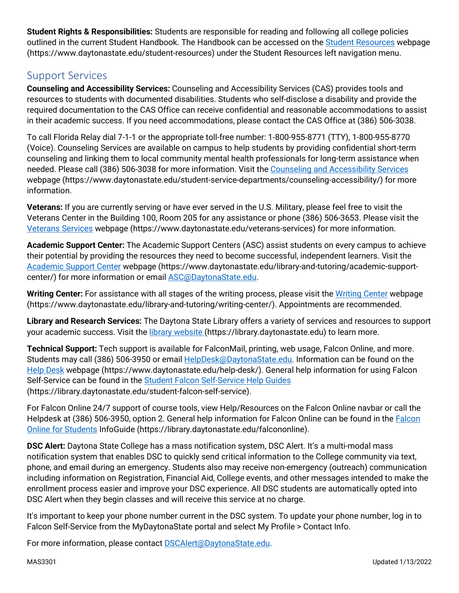**Student Rights & Responsibilities:** Students are responsible for reading and following all college policies outlined in the current Student Handbook. The Handbook can be accessed on the [Student Resources](https://www.daytonastate.edu/student-resources) webpage (https://www.daytonastate.edu/student-resources) under the Student Resources left navigation menu.

# Support Services

**Counseling and Accessibility Services:** Counseling and Accessibility Services (CAS) provides tools and resources to students with documented disabilities. Students who self-disclose a disability and provide the required documentation to the CAS Office can receive confidential and reasonable accommodations to assist in their academic success. If you need accommodations, please contact the CAS Office at (386) 506-3038.

To call Florida Relay dial 7-1-1 or the appropriate toll-free number: 1-800-955-8771 (TTY), 1-800-955-8770 (Voice). Counseling Services are available on campus to help students by providing confidential short-term counseling and linking them to local community mental health professionals for long-term assistance when needed. Please call (386) 506-3038 for more information. Visit the [Counseling and Accessibility Services](https://www.daytonastate.edu/student-service-departments/counseling-accessibility/) webpage (https://www.daytonastate.edu/student-service-departments/counseling-accessibility/) for more information.

**Veterans:** If you are currently serving or have ever served in the U.S. Military, please feel free to visit the Veterans Center in the Building 100, Room 205 for any assistance or phone (386) 506-3653. Please visit the [Veterans Services](https://www.daytonastate.edu/veterans-services) webpage (https://www.daytonastate.edu/veterans-services) for more information.

**Academic Support Center:** The Academic Support Centers (ASC) assist students on every campus to achieve their potential by providing the resources they need to become successful, independent learners. Visit the [Academic Support Center](https://www.daytonastate.edu/library-and-tutoring/academic-support-center/index.html) webpage (https://www.daytonastate.edu/library-and-tutoring/academic-supportcenter/) for more information or email [ASC@DaytonaState.edu.](mailto:ASC@DaytonaState.edu)

**Writing Center:** For assistance with all stages of the writing process, please visit the [Writing Center](https://www.daytonastate.edu/library-and-tutoring/writing-center/) webpage (https://www.daytonastate.edu/library-and-tutoring/writing-center/). Appointments are recommended.

**Library and Research Services:** The Daytona State Library offers a variety of services and resources to support your academic success. Visit the [library website \(](https://library.daytonastate.edu/index)https://library.daytonastate.edu) to learn more.

**Technical Support:** Tech support is available for FalconMail, printing, web usage, Falcon Online, and more. Students may call (386) 506-3950 or email [HelpDesk@DaytonaState.edu.](mailto:HelpDesk@DaytonaState.edu) Information can be found on the [Help Desk](https://www.daytonastate.edu/help-desk/) webpage (https://www.daytonastate.edu/help-desk/). General help information for using Falcon Self-Service can be found in the [Student Falcon Self-Service Help Guides](https://library.daytonastate.edu/student-falcon-self-service) (https://library.daytonastate.edu/student-falcon-self-service).

For Falcon Online 24/7 support of course tools, view Help/Resources on the Falcon Online navbar or call the Helpdesk at (386) 506-3950, option 2. General help information for [Falcon](https://library.daytonastate.edu/falcononline) Online can be found in the Falcon [Online for Students](https://library.daytonastate.edu/falcononline) InfoGuide (https://library.daytonastate.edu/falcononline).

**DSC Alert:** Daytona State College has a mass notification system, DSC Alert. It's a multi-modal mass notification system that enables DSC to quickly send critical information to the College community via text, phone, and email during an emergency. Students also may receive non-emergency (outreach) communication including information on Registration, Financial Aid, College events, and other messages intended to make the enrollment process easier and improve your DSC experience. All DSC students are automatically opted into DSC Alert when they begin classes and will receive this service at no charge.

It's important to keep your phone number current in the DSC system. To update your phone number, log in to Falcon Self-Service from the MyDaytonaState portal and select My Profile > Contact Info.

For more information, please contact **DSCAlert**@DaytonaState.edu.